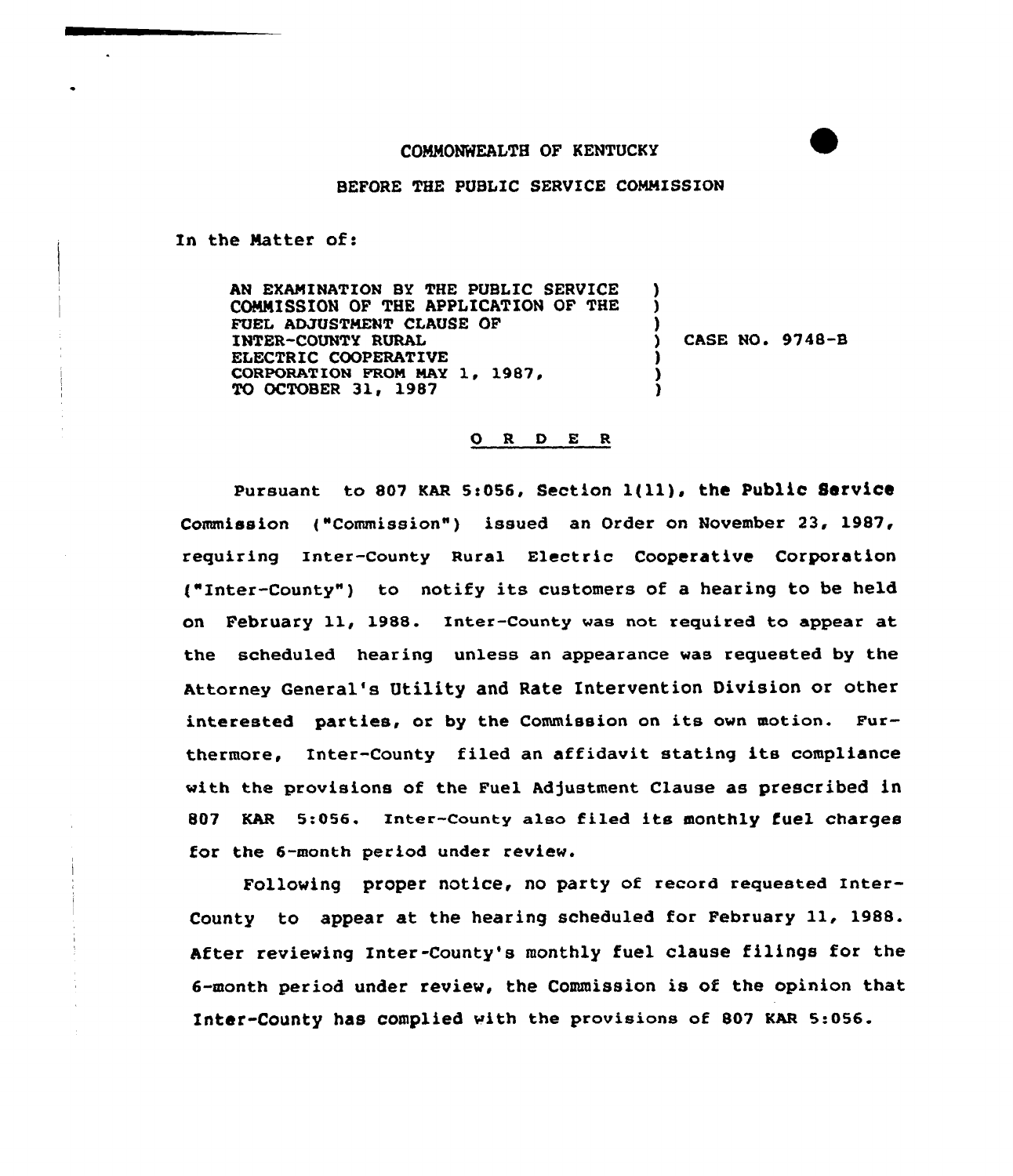## COMMONWEALTH OF KENTUCKY

BEFORE THE PUBLIC SERVICE COMMISSION

In the Matter of:

AN EXAMINATION BY THE PUBLIC SERVICE COMMISSION OF THE APPLICATION OF THE FUEL ADJUSTMENT CLAUSE OF INTER-COUNTY RURAL ELECTRIC COOPERATIVE CORPORATION FROM MAY 1, 1987, TO OCTOBER 31, 1987 ) ) )  $\overline{)}$  CASE NO. 9748-B ) ) )

0 <sup>R</sup> <sup>D</sup> E <sup>R</sup>

Pursuant to 807 KAR 5:056, Section  $l(11)$ , the Public Service Commission t"Commission") issued an Order on November 23, 1987, requiring Inter-county Rural Electric cooperative Corporation ("Inter-County") to notify its customers of a hearing to be held on February 11, 1988. Inter-County was not required to appear at the scheduled hearing unless an appearance was requested by the Attorney General's Utility and Rate Intervention Division or other interested parties, or by the Commission on its own motion. Furthermore, Inter-County filed an affidavit stating its compliance with the provisions of the Fuel Adjustment Clause as prescribed in 807 KAR 5:056. Inter-County also filed its monthly fuel charges for the 6-month period under review.

Following proper notice, no party of record requested Inter-County to appear at the hearing scheduled for February 11, 1988. After reviewing Inter-County's monthly fuel clause filings for the 6-month period under review, the Commission is of the opinion that Inter-County has complied with the provisions of 807 KAR 5:056.